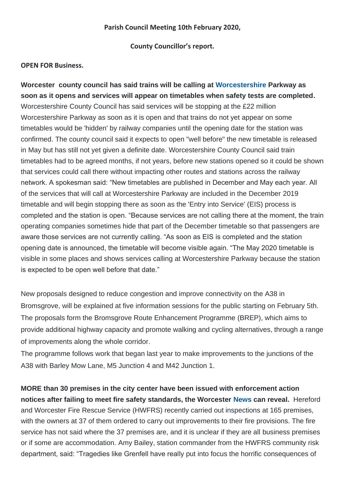#### **Parish Council Meeting 10th February 2020,**

**County Councillor's report.**

#### **OPEN FOR Business.**

**Worcester county council has said trains will be calling at [Worcestershire](https://www.worcesternews.co.uk/news/regional/worcestershire/) Parkway as soon as it opens and services will appear on timetables when safety tests are completed.**  Worcestershire County Council has said services will be stopping at the £22 million Worcestershire Parkway as soon as it is open and that trains do not yet appear on some timetables would be 'hidden' by railway companies until the opening date for the station was confirmed. The county council said it expects to open "well before" the new timetable is released in May but has still not yet given a definite date. Worcestershire County Council said train timetables had to be agreed months, if not years, before new stations opened so it could be shown that services could call there without impacting other routes and stations across the railway network. A spokesman said: "New timetables are published in December and May each year. All of the services that will call at Worcestershire Parkway are included in the December 2019 timetable and will begin stopping there as soon as the 'Entry into Service' (EIS) process is completed and the station is open. "Because services are not calling there at the moment, the train operating companies sometimes hide that part of the December timetable so that passengers are aware those services are not currently calling. "As soon as EIS is completed and the station opening date is announced, the timetable will become visible again. "The May 2020 timetable is visible in some places and shows services calling at Worcestershire Parkway because the station is expected to be open well before that date."

New proposals designed to reduce congestion and improve connectivity on the A38 in Bromsgrove, will be explained at five information sessions for the public starting on February 5th. The proposals form the Bromsgrove Route Enhancement Programme (BREP), which aims to provide additional highway capacity and promote walking and cycling alternatives, through a range of improvements along the whole corridor.

The programme follows work that began last year to make improvements to the junctions of the A38 with Barley Mow Lane, M5 Junction 4 and M42 Junction 1.

**MORE than 30 premises in the city center have been issued with enforcement action notices after failing to meet fire safety standards, the Worcester [News](https://www.worcesternews.co.uk/news/) can reveal.** Hereford and Worcester Fire Rescue Service (HWFRS) recently carried out inspections at 165 premises, with the owners at 37 of them ordered to carry out improvements to their fire provisions. The fire service has not said where the 37 premises are, and it is unclear if they are all business premises or if some are accommodation. Amy Bailey, station commander from the HWFRS community risk department, said: "Tragedies like Grenfell have really put into focus the horrific consequences of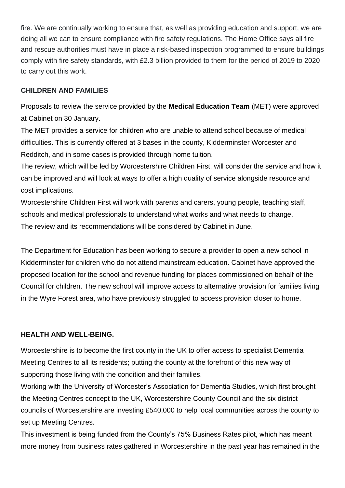fire. We are continually working to ensure that, as well as providing education and support, we are doing all we can to ensure compliance with fire safety regulations. The Home Office says all fire and rescue authorities must have in place a risk-based inspection programmed to ensure buildings comply with fire safety standards, with £2.3 billion provided to them for the period of 2019 to 2020 to carry out this work.

# **CHILDREN AND FAMILIES**

Proposals to review the service provided by the **Medical Education Team** (MET) were approved at Cabinet on 30 January.

The MET provides a service for children who are unable to attend school because of medical difficulties. This is currently offered at 3 bases in the county, Kidderminster Worcester and Redditch, and in some cases is provided through home tuition.

The review, which will be led by Worcestershire Children First, will consider the service and how it can be improved and will look at ways to offer a high quality of service alongside resource and cost implications.

Worcestershire Children First will work with parents and carers, young people, teaching staff, schools and medical professionals to understand what works and what needs to change. The review and its recommendations will be considered by Cabinet in June.

The Department for Education has been working to secure a provider to open a new school in Kidderminster for children who do not attend mainstream education. Cabinet have approved the proposed location for the school and revenue funding for places commissioned on behalf of the Council for children. The new school will improve access to alternative provision for families living in the Wyre Forest area, who have previously struggled to access provision closer to home.

### **HEALTH AND WELL-BEING.**

Worcestershire is to become the first county in the UK to offer access to specialist Dementia Meeting Centres to all its residents; putting the county at the forefront of this new way of supporting those living with the condition and their families.

Working with the University of Worcester's Association for Dementia Studies, which first brought the Meeting Centres concept to the UK, Worcestershire County Council and the six district councils of Worcestershire are investing £540,000 to help local communities across the county to set up Meeting Centres.

This investment is being funded from the County's 75% Business Rates pilot, which has meant more money from business rates gathered in Worcestershire in the past year has remained in the